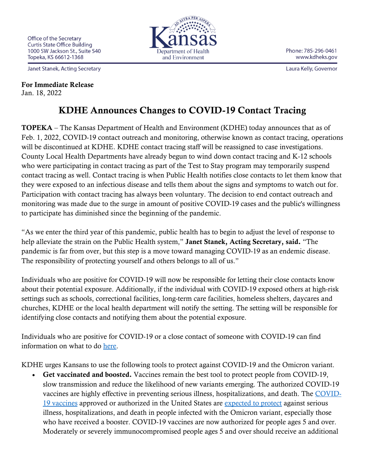Janet Stanek, Acting Secretary

## For Immediate Release Jan. 18, 2022



Phone: 785-296-0461 www.kdheks.gov

Laura Kelly, Governor

## KDHE Announces Changes to COVID-19 Contact Tracing

TOPEKA – The Kansas Department of Health and Environment (KDHE) today announces that as of Feb. 1, 2022, COVID-19 contact outreach and monitoring, otherwise known as contact tracing, operations will be discontinued at KDHE. KDHE contact tracing staff will be reassigned to case investigations. County Local Health Departments have already begun to wind down contact tracing and K-12 schools who were participating in contact tracing as part of the Test to Stay program may temporarily suspend contact tracing as well. Contact tracing is when Public Health notifies close contacts to let them know that they were exposed to an infectious disease and tells them about the signs and symptoms to watch out for. Participation with contact tracing has always been voluntary. The decision to end contact outreach and monitoring was made due to the surge in amount of positive COVID-19 cases and the public's willingness to participate has diminished since the beginning of the pandemic.

"As we enter the third year of this pandemic, public health has to begin to adjust the level of response to help alleviate the strain on the Public Health system," Janet Stanek, Acting Secretary, said. "The pandemic is far from over, but this step is a move toward managing COVID-19 as an endemic disease. The responsibility of protecting yourself and others belongs to all of us."

Individuals who are positive for COVID-19 will now be responsible for letting their close contacts know about their potential exposure. Additionally, if the individual with COVID-19 exposed others at high-risk settings such as schools, correctional facilities, long-term care facilities, homeless shelters, daycares and churches, KDHE or the local health department will notify the setting. The setting will be responsible for identifying close contacts and notifying them about the potential exposure.

Individuals who are positive for COVID-19 or a close contact of someone with COVID-19 can find information on what to do [here.](https://www.coronavirus.kdheks.gov/299/If-You-Know-You-Have-COVID-19)

KDHE urges Kansans to use the following tools to protect against COVID-19 and the Omicron variant.

Get vaccinated and boosted. Vaccines remain the best tool to protect people from COVID-19, slow transmission and reduce the likelihood of new variants emerging. The authorized COVID-19 vaccines are highly effective in preventing serious illness, hospitalizations, and death. The [COVID-](https://www.cdc.gov/coronavirus/2019-ncov/vaccines/effectiveness/work.html)[19 vaccines](https://www.cdc.gov/coronavirus/2019-ncov/vaccines/effectiveness/work.html) approved or authorized in the United States are [expected to protect](https://www.cdc.gov/coronavirus/2019-ncov/variants/omicron-variant.html) against serious illness, hospitalizations, and death in people infected with the Omicron variant, especially those who have received a booster. COVID-19 vaccines are now authorized for people ages 5 and over. Moderately or severely immunocompromised people ages 5 and over should receive an additional